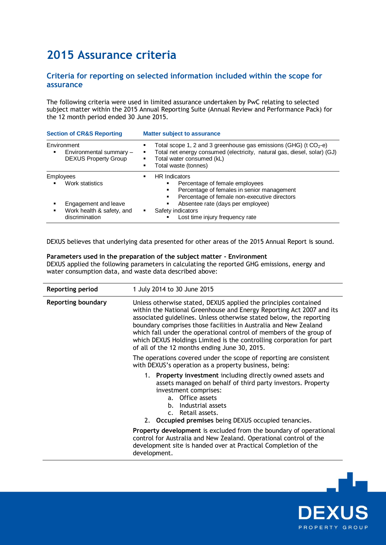# **2015 Assurance criteria**

## **Criteria for reporting on selected information included within the scope for assurance**

The following criteria were used in limited assurance undertaken by PwC relating to selected subject matter within the 2015 Annual Reporting Suite (Annual Review and Performance Pack) for the 12 month period ended 30 June 2015.

| <b>Section of CR&amp;S Reporting</b>                                                                |  |   | <b>Matter subject to assurance</b>                                                                                                                                                                                                                               |  |
|-----------------------------------------------------------------------------------------------------|--|---|------------------------------------------------------------------------------------------------------------------------------------------------------------------------------------------------------------------------------------------------------------------|--|
| Environment<br>Environmental summary -<br>٠<br><b>DEXUS Property Group</b>                          |  |   | Total scope 1, 2 and 3 greenhouse gas emissions (GHG) (t $CO2$ -e)<br>Total net energy consumed (electricity, natural gas, diesel, solar) (GJ)<br>Total water consumed (kL)<br>Total waste (tonnes)                                                              |  |
| Employees<br>Work statistics<br>Engagement and leave<br>Work health & safety, and<br>discrimination |  | ٠ | <b>HR</b> Indicators<br>Percentage of female employees<br>Percentage of females in senior management<br>٠<br>Percentage of female non-executive directors<br>٠<br>Absentee rate (days per employee)<br>Safety indicators<br>Lost time injury frequency rate<br>٠ |  |

DEXUS believes that underlying data presented for other areas of the 2015 Annual Report is sound.

#### **Parameters used in the preparation of the subject matter - Environment**

DEXUS applied the following parameters in calculating the reported GHG emissions, energy and water consumption data, and waste data described above:

| Reporting period          | 1 July 2014 to 30 June 2015                                                                                                                                                                                                                                                                                                                                                                                                                                                        |
|---------------------------|------------------------------------------------------------------------------------------------------------------------------------------------------------------------------------------------------------------------------------------------------------------------------------------------------------------------------------------------------------------------------------------------------------------------------------------------------------------------------------|
| <b>Reporting boundary</b> | Unless otherwise stated, DEXUS applied the principles contained<br>within the National Greenhouse and Energy Reporting Act 2007 and its<br>associated guidelines. Unless otherwise stated below, the reporting<br>boundary comprises those facilities in Australia and New Zealand<br>which fall under the operational control of members of the group of<br>which DEXUS Holdings Limited is the controlling corporation for part<br>of all of the 12 months ending June 30, 2015. |
|                           | The operations covered under the scope of reporting are consistent<br>with DEXUS's operation as a property business, being:                                                                                                                                                                                                                                                                                                                                                        |
|                           | 1. Property investment including directly owned assets and<br>assets managed on behalf of third party investors. Property<br>investment comprises:<br>a. Office assets<br>b. Industrial assets<br>c. Retail assets.<br>2. Occupied premises being DEXUS occupied tenancies.                                                                                                                                                                                                        |
|                           | Property development is excluded from the boundary of operational<br>control for Australia and New Zealand. Operational control of the<br>development site is handed over at Practical Completion of the<br>development.                                                                                                                                                                                                                                                           |

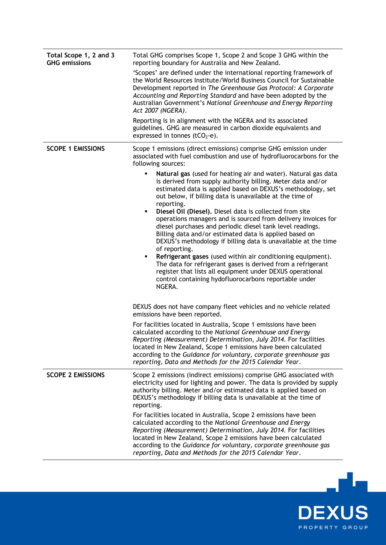| Total Scope 1, 2 and 3<br><b>GHG emissions</b> | Total GHG comprises Scope 1, Scope 2 and Scope 3 GHG within the<br>reporting boundary for Australia and New Zealand.                                                                                                                                                                                                                                                                                                                                                                                                                                                                                                                                                                                                                                                                                                                                                                                                 |
|------------------------------------------------|----------------------------------------------------------------------------------------------------------------------------------------------------------------------------------------------------------------------------------------------------------------------------------------------------------------------------------------------------------------------------------------------------------------------------------------------------------------------------------------------------------------------------------------------------------------------------------------------------------------------------------------------------------------------------------------------------------------------------------------------------------------------------------------------------------------------------------------------------------------------------------------------------------------------|
|                                                | 'Scopes' are defined under the international reporting framework of<br>the World Resources Institute/World Business Council for Sustainable<br>Development reported in The Greenhouse Gas Protocol: A Corporate<br>Accounting and Reporting Standard and have been adopted by the<br>Australian Government's National Greenhouse and Energy Reporting<br>Act 2007 (NGERA).                                                                                                                                                                                                                                                                                                                                                                                                                                                                                                                                           |
|                                                | Reporting is in alignment with the NGERA and its associated<br>guidelines. GHG are measured in carbon dioxide equivalents and<br>expressed in tonnes $(tCO2-e)$ .                                                                                                                                                                                                                                                                                                                                                                                                                                                                                                                                                                                                                                                                                                                                                    |
| <b>SCOPE 1 EMISSIONS</b>                       | Scope 1 emissions (direct emissions) comprise GHG emission under<br>associated with fuel combustion and use of hydrofluorocarbons for the<br>following sources:                                                                                                                                                                                                                                                                                                                                                                                                                                                                                                                                                                                                                                                                                                                                                      |
|                                                | Natural gas (used for heating air and water). Natural gas data<br>$\blacksquare$<br>is derived from supply authority billing. Meter data and/or<br>estimated data is applied based on DEXUS's methodology, set<br>out below, if billing data is unavailable at the time of<br>reporting.<br>Diesel Oil (Diesel). Diesel data is collected from site<br>$\blacksquare$<br>operations managers and is sourced from delivery invoices for<br>diesel purchases and periodic diesel tank level readings.<br>Billing data and/or estimated data is applied based on<br>DEXUS's methodology if billing data is unavailable at the time<br>of reporting.<br>Refrigerant gases (used within air conditioning equipment).<br>٠<br>The data for refrigerant gases is derived from a refrigerant<br>register that lists all equipment under DEXUS operational<br>control containing hydofluorocarbons reportable under<br>NGERA. |
|                                                | DEXUS does not have company fleet vehicles and no vehicle related<br>emissions have been reported.                                                                                                                                                                                                                                                                                                                                                                                                                                                                                                                                                                                                                                                                                                                                                                                                                   |
|                                                | For facilities located in Australia, Scope 1 emissions have been<br>calculated according to the National Greenhouse and Energy<br>Reporting (Measurement) Determination, July 2014. For facilities<br>located in New Zealand, Scope 1 emissions have been calculated<br>according to the Guidance for voluntary, corporate greenhouse gas<br>reporting, Data and Methods for the 2015 Calendar Year.                                                                                                                                                                                                                                                                                                                                                                                                                                                                                                                 |
| <b>SCOPE 2 EMISSIONS</b>                       | Scope 2 emissions (indirect emissions) comprise GHG associated with<br>electricity used for lighting and power. The data is provided by supply<br>authority billing. Meter and/or estimated data is applied based on<br>DEXUS's methodology if billing data is unavailable at the time of<br>reporting.                                                                                                                                                                                                                                                                                                                                                                                                                                                                                                                                                                                                              |
|                                                | For facilities located in Australia, Scope 2 emissions have been<br>calculated according to the National Greenhouse and Energy<br>Reporting (Measurement) Determination, July 2014. For facilities<br>located in New Zealand, Scope 2 emissions have been calculated<br>according to the Guidance for voluntary, corporate greenhouse gas<br>reporting, Data and Methods for the 2015 Calendar Year.                                                                                                                                                                                                                                                                                                                                                                                                                                                                                                                 |

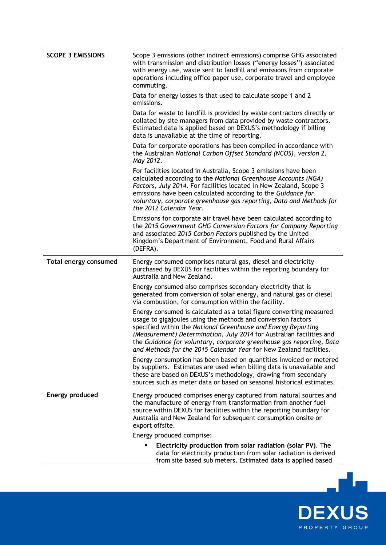| <b>SCOPE 3 EMISSIONS</b>     | Scope 3 emissions (other indirect emissions) comprise GHG associated<br>with transmission and distribution losses ("energy losses") associated<br>with energy use, waste sent to landfill and emissions from corporate<br>operations including office paper use, corporate travel and employee<br>commuting.                                                                                                               |
|------------------------------|----------------------------------------------------------------------------------------------------------------------------------------------------------------------------------------------------------------------------------------------------------------------------------------------------------------------------------------------------------------------------------------------------------------------------|
|                              | Data for energy losses is that used to calculate scope 1 and 2<br>emissions.                                                                                                                                                                                                                                                                                                                                               |
|                              | Data for waste to landfill is provided by waste contractors directly or<br>collated by site managers from data provided by waste contractors.<br>Estimated data is applied based on DEXUS's methodology if billing<br>data is unavailable at the time of reporting.                                                                                                                                                        |
|                              | Data for corporate operations has been compiled in accordance with<br>the Australian National Carbon Offset Standard (NCOS), version 2,<br>May 2012.                                                                                                                                                                                                                                                                       |
|                              | For facilities located in Australia, Scope 3 emissions have been<br>calculated according to the National Greenhouse Accounts (NGA)<br>Factors, July 2014. For facilities located in New Zealand, Scope 3<br>emissions have been calculated according to the Guidance for<br>voluntary, corporate greenhouse gas reporting, Data and Methods for<br>the 2012 Calendar Year.                                                 |
|                              | Emissions for corporate air travel have been calculated according to<br>the 2015 Government GHG Conversion Factors for Company Reporting<br>and associated 2015 Carbon Factors published by the United<br>Kingdom's Department of Environment, Food and Rural Affairs<br>(DEFRA).                                                                                                                                          |
| <b>Total energy consumed</b> | Energy consumed comprises natural gas, diesel and electricity<br>purchased by DEXUS for facilities within the reporting boundary for<br>Australia and New Zealand.                                                                                                                                                                                                                                                         |
|                              | Energy consumed also comprises secondary electricity that is<br>generated from conversion of solar energy, and natural gas or diesel<br>via combustion, for consumption within the facility.                                                                                                                                                                                                                               |
|                              | Energy consumed is calculated as a total figure converting measured<br>usage to gigajoules using the methods and conversion factors<br>specified within the National Greenhouse and Energy Reporting<br>(Measurement) Determination, July 2014 for Australian facilities and<br>the Guidance for voluntary, corporate greenhouse gas reporting, Data<br>and Methods for the 2015 Calendar Year for New Zealand facilities. |
|                              | Energy consumption has been based on quantities invoiced or metered<br>by suppliers. Estimates are used when billing data is unavailable and<br>these are based on DEXUS's methodology, drawing from secondary<br>sources such as meter data or based on seasonal historical estimates.                                                                                                                                    |
| <b>Energy produced</b>       | Energy produced comprises energy captured from natural sources and<br>the manufacture of energy from transformation from another fuel<br>source within DEXUS for facilities within the reporting boundary for<br>Australia and New Zealand for subsequent consumption onsite or<br>export offsite.                                                                                                                         |
|                              | Energy produced comprise:                                                                                                                                                                                                                                                                                                                                                                                                  |
|                              | Electricity production from solar radiation (solar PV). The<br>٠<br>data for electricity production from solar radiation is derived<br>from site based sub meters. Estimated data is applied based                                                                                                                                                                                                                         |

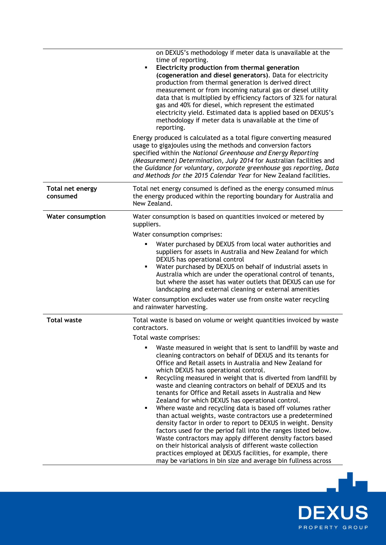|                              | on DEXUS's methodology if meter data is unavailable at the<br>time of reporting.<br>Electricity production from thermal generation<br>$\blacksquare$<br>(cogeneration and diesel generators). Data for electricity<br>production from thermal generation is derived direct<br>measurement or from incoming natural gas or diesel utility<br>data that is multiplied by efficiency factors of 32% for natural<br>gas and 40% for diesel, which represent the estimated<br>electricity yield. Estimated data is applied based on DEXUS's<br>methodology if meter data is unavailable at the time of<br>reporting.                                                                                                                                                                                                                                                                                                                                                                                                                                                                                                                                 |
|------------------------------|-------------------------------------------------------------------------------------------------------------------------------------------------------------------------------------------------------------------------------------------------------------------------------------------------------------------------------------------------------------------------------------------------------------------------------------------------------------------------------------------------------------------------------------------------------------------------------------------------------------------------------------------------------------------------------------------------------------------------------------------------------------------------------------------------------------------------------------------------------------------------------------------------------------------------------------------------------------------------------------------------------------------------------------------------------------------------------------------------------------------------------------------------|
|                              | Energy produced is calculated as a total figure converting measured<br>usage to gigajoules using the methods and conversion factors<br>specified within the National Greenhouse and Energy Reporting<br>(Measurement) Determination, July 2014 for Australian facilities and<br>the Guidance for voluntary, corporate greenhouse gas reporting, Data<br>and Methods for the 2015 Calendar Year for New Zealand facilities.                                                                                                                                                                                                                                                                                                                                                                                                                                                                                                                                                                                                                                                                                                                      |
| Total net energy<br>consumed | Total net energy consumed is defined as the energy consumed minus<br>the energy produced within the reporting boundary for Australia and<br>New Zealand.                                                                                                                                                                                                                                                                                                                                                                                                                                                                                                                                                                                                                                                                                                                                                                                                                                                                                                                                                                                        |
| <b>Water consumption</b>     | Water consumption is based on quantities invoiced or metered by<br>suppliers.<br>Water consumption comprises:<br>Water purchased by DEXUS from local water authorities and<br>٠<br>suppliers for assets in Australia and New Zealand for which<br>DEXUS has operational control<br>Water purchased by DEXUS on behalf of industrial assets in<br>٠<br>Australia which are under the operational control of tenants,<br>but where the asset has water outlets that DEXUS can use for<br>landscaping and external cleaning or external amenities<br>Water consumption excludes water use from onsite water recycling<br>and rainwater harvesting.                                                                                                                                                                                                                                                                                                                                                                                                                                                                                                 |
| <b>Total waste</b>           | Total waste is based on volume or weight quantities invoiced by waste<br>contractors.<br>Total waste comprises:<br>Waste measured in weight that is sent to landfill by waste and<br>٠<br>cleaning contractors on behalf of DEXUS and its tenants for<br>Office and Retail assets in Australia and New Zealand for<br>which DEXUS has operational control.<br>Recycling measured in weight that is diverted from landfill by<br>٠<br>waste and cleaning contractors on behalf of DEXUS and its<br>tenants for Office and Retail assets in Australia and New<br>Zealand for which DEXUS has operational control.<br>Where waste and recycling data is based off volumes rather<br>٠<br>than actual weights, waste contractors use a predetermined<br>density factor in order to report to DEXUS in weight. Density<br>factors used for the period fall into the ranges listed below.<br>Waste contractors may apply different density factors based<br>on their historical analysis of different waste collection<br>practices employed at DEXUS facilities, for example, there<br>may be variations in bin size and average bin fullness across |

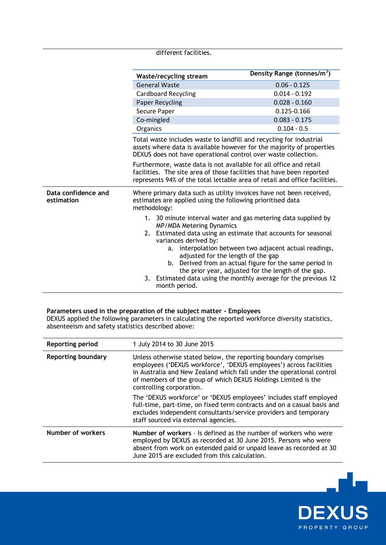### different facilities.

|                                   | Waste/recycling stream                                                                                                                                                                                                    | Density Range (tonnes/m <sup>3</sup> )                                                                              |
|-----------------------------------|---------------------------------------------------------------------------------------------------------------------------------------------------------------------------------------------------------------------------|---------------------------------------------------------------------------------------------------------------------|
|                                   | <b>General Waste</b>                                                                                                                                                                                                      | $0.06 - 0.125$                                                                                                      |
|                                   | <b>Cardboard Recycling</b>                                                                                                                                                                                                | $0.014 - 0.192$                                                                                                     |
|                                   | <b>Paper Recycling</b>                                                                                                                                                                                                    | $0.028 - 0.160$                                                                                                     |
|                                   | Secure Paper                                                                                                                                                                                                              | $0.125 - 0.166$                                                                                                     |
|                                   | Co-mingled                                                                                                                                                                                                                | $0.083 - 0.175$                                                                                                     |
|                                   | Organics                                                                                                                                                                                                                  | $0.104 - 0.5$                                                                                                       |
|                                   | Total waste includes waste to landfill and recycling for industrial<br>assets where data is available however for the majority of properties<br>DEXUS does not have operational control over waste collection.            |                                                                                                                     |
|                                   | Furthermore, waste data is not available for all office and retail<br>facilities. The site area of those facilities that have been reported<br>represents 94% of the total lettable area of retail and office facilities. |                                                                                                                     |
| Data confidence and<br>estimation | Where primary data such as utility invoices have not been received,<br>estimates are applied using the following prioritised data<br>methodology:                                                                         |                                                                                                                     |
|                                   | 1. 30 minute interval water and gas metering data supplied by<br>MP/MDA Metering Dynamics                                                                                                                                 |                                                                                                                     |
|                                   | Estimated data using an estimate that accounts for seasonal<br>2.<br>variances derived by:                                                                                                                                |                                                                                                                     |
|                                   | adjusted for the length of the gap                                                                                                                                                                                        | a. interpolation between two adjacent actual readings,<br>b. Derived from an actual figure for the same period in   |
|                                   | 3.<br>month period.                                                                                                                                                                                                       | the prior year, adjusted for the length of the gap.<br>Estimated data using the monthly average for the previous 12 |

#### **Parameters used in the preparation of the subject matter - Employees**

DEXUS applied the following parameters in calculating the reported workforce diversity statistics, absenteeism and safety statistics described above:

| <b>Reporting period</b>   | 1 July 2014 to 30 June 2015                                                                                                                                                                                                                                                                                  |
|---------------------------|--------------------------------------------------------------------------------------------------------------------------------------------------------------------------------------------------------------------------------------------------------------------------------------------------------------|
| <b>Reporting boundary</b> | Unless otherwise stated below, the reporting boundary comprises<br>employees ('DEXUS workforce', 'DEXUS employees') across facilities<br>in Australia and New Zealand which fall under the operational control<br>of members of the group of which DEXUS Holdings Limited is the<br>controlling corporation. |
|                           | The 'DEXUS workforce' or 'DEXUS employees' includes staff employed<br>full-time, part-time, on fixed term contracts and on a casual basis and<br>excludes independent consultants/service providers and temporary<br>staff sourced via external agencies.                                                    |
| Number of workers         | <b>Number of workers</b> - Is defined as the number of workers who were<br>employed by DEXUS as recorded at 30 June 2015. Persons who were<br>absent from work on extended paid or unpaid leave as recorded at 30<br>June 2015 are excluded from this calculation.                                           |

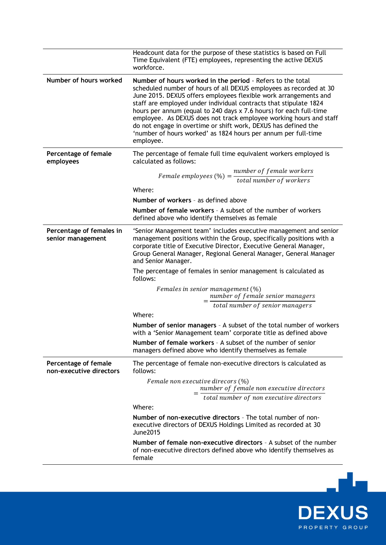|                                                 | Headcount data for the purpose of these statistics is based on Full<br>Time Equivalent (FTE) employees, representing the active DEXUS<br>workforce.                                                                                                                                                                                                                                                                                                                                                                                                                    |  |
|-------------------------------------------------|------------------------------------------------------------------------------------------------------------------------------------------------------------------------------------------------------------------------------------------------------------------------------------------------------------------------------------------------------------------------------------------------------------------------------------------------------------------------------------------------------------------------------------------------------------------------|--|
| Number of hours worked                          | Number of hours worked in the period - Refers to the total<br>scheduled number of hours of all DEXUS employees as recorded at 30<br>June 2015. DEXUS offers employees flexible work arrangements and<br>staff are employed under individual contracts that stipulate 1824<br>hours per annum (equal to 240 days x 7.6 hours) for each full-time<br>employee. As DEXUS does not track employee working hours and staff<br>do not engage in overtime or shift work, DEXUS has defined the<br>'number of hours worked' as 1824 hours per annum per full-time<br>employee. |  |
| Percentage of female<br>employees               | The percentage of female full time equivalent workers employed is<br>calculated as follows:                                                                                                                                                                                                                                                                                                                                                                                                                                                                            |  |
|                                                 | Female employees $(\%) = \frac{number\ of\ female\ workers}{total\ number\ of\ workers}$                                                                                                                                                                                                                                                                                                                                                                                                                                                                               |  |
|                                                 | Where:                                                                                                                                                                                                                                                                                                                                                                                                                                                                                                                                                                 |  |
|                                                 | Number of workers - as defined above                                                                                                                                                                                                                                                                                                                                                                                                                                                                                                                                   |  |
|                                                 | Number of female workers - A subset of the number of workers<br>defined above who identify themselves as female                                                                                                                                                                                                                                                                                                                                                                                                                                                        |  |
| Percentage of females in<br>senior management   | 'Senior Management team' includes executive management and senior<br>management positions within the Group, specifically positions with a<br>corporate title of Executive Director, Executive General Manager,<br>Group General Manager, Regional General Manager, General Manager<br>and Senior Manager.                                                                                                                                                                                                                                                              |  |
|                                                 | The percentage of females in senior management is calculated as<br>follows:                                                                                                                                                                                                                                                                                                                                                                                                                                                                                            |  |
|                                                 | Females in senior management (%)<br>number of female senior managers<br>$=$ -<br>total number of senior managers                                                                                                                                                                                                                                                                                                                                                                                                                                                       |  |
|                                                 | Where:                                                                                                                                                                                                                                                                                                                                                                                                                                                                                                                                                                 |  |
|                                                 | Number of senior managers - A subset of the total number of workers<br>with a 'Senior Management team' corporate title as defined above                                                                                                                                                                                                                                                                                                                                                                                                                                |  |
|                                                 | Number of female workers - A subset of the number of senior<br>managers defined above who identify themselves as female                                                                                                                                                                                                                                                                                                                                                                                                                                                |  |
| Percentage of female<br>non-executive directors | The percentage of female non-executive directors is calculated as<br>follows:                                                                                                                                                                                                                                                                                                                                                                                                                                                                                          |  |
|                                                 | Female non executive direcors (%)<br>$=\frac{number\ of\ female\ non\ executive\ directories}{}$                                                                                                                                                                                                                                                                                                                                                                                                                                                                       |  |
|                                                 | total number of non executive directors                                                                                                                                                                                                                                                                                                                                                                                                                                                                                                                                |  |
|                                                 | Where:                                                                                                                                                                                                                                                                                                                                                                                                                                                                                                                                                                 |  |
|                                                 | Number of non-executive directors - The total number of non-<br>executive directors of DEXUS Holdings Limited as recorded at 30<br><b>June2015</b>                                                                                                                                                                                                                                                                                                                                                                                                                     |  |
|                                                 | Number of female non-executive directors - A subset of the number<br>of non-executive directors defined above who identify themselves as<br>female                                                                                                                                                                                                                                                                                                                                                                                                                     |  |

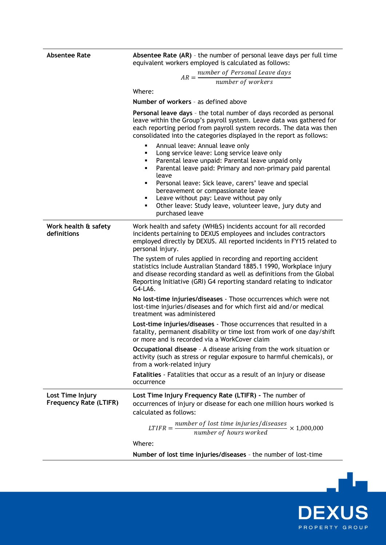| <b>Absentee Rate</b>                              | Absentee Rate (AR) - the number of personal leave days per full time<br>equivalent workers employed is calculated as follows:                                                                                                                                                                                                                                                                                                                                  |  |  |
|---------------------------------------------------|----------------------------------------------------------------------------------------------------------------------------------------------------------------------------------------------------------------------------------------------------------------------------------------------------------------------------------------------------------------------------------------------------------------------------------------------------------------|--|--|
|                                                   |                                                                                                                                                                                                                                                                                                                                                                                                                                                                |  |  |
|                                                   | $AR = \frac{number\ of\ Personal\ Leave\ days}{number\ of\ workers}$                                                                                                                                                                                                                                                                                                                                                                                           |  |  |
|                                                   | Where:                                                                                                                                                                                                                                                                                                                                                                                                                                                         |  |  |
|                                                   | Number of workers - as defined above                                                                                                                                                                                                                                                                                                                                                                                                                           |  |  |
|                                                   | Personal leave days - the total number of days recorded as personal<br>leave within the Group's payroll system. Leave data was gathered for<br>each reporting period from payroll system records. The data was then<br>consolidated into the categories displayed in the report as follows:                                                                                                                                                                    |  |  |
|                                                   | Annual leave: Annual leave only<br>Long service leave: Long service leave only<br>٠<br>Parental leave unpaid: Parental leave unpaid only<br>٠<br>Parental leave paid: Primary and non-primary paid parental<br>٠<br>leave<br>Personal leave: Sick leave, carers' leave and special<br>٠<br>bereavement or compassionate leave<br>Leave without pay: Leave without pay only<br>٠<br>Other leave: Study leave, volunteer leave, jury duty and<br>purchased leave |  |  |
| Work health & safety<br>definitions               | Work health and safety (WH&S) incidents account for all recorded<br>incidents pertaining to DEXUS employees and includes contractors<br>employed directly by DEXUS. All reported incidents in FY15 related to<br>personal injury.                                                                                                                                                                                                                              |  |  |
|                                                   | The system of rules applied in recording and reporting accident<br>statistics include Australian Standard 1885.1 1990, Workplace injury<br>and disease recording standard as well as definitions from the Global<br>Reporting Initiative (GRI) G4 reporting standard relating to indicator<br>G4-LA6.                                                                                                                                                          |  |  |
|                                                   | No lost-time injuries/diseases - Those occurrences which were not<br>lost-time injuries/diseases and for which first aid and/or medical<br>treatment was administered                                                                                                                                                                                                                                                                                          |  |  |
|                                                   | Lost-time injuries/diseases - Those occurrences that resulted in a<br>fatality, permanent disability or time lost from work of one day/shift<br>or more and is recorded via a WorkCover claim                                                                                                                                                                                                                                                                  |  |  |
|                                                   | Occupational disease - A disease arising from the work situation or<br>activity (such as stress or regular exposure to harmful chemicals), or<br>from a work-related injury                                                                                                                                                                                                                                                                                    |  |  |
|                                                   | <b>Fatalities</b> - Fatalities that occur as a result of an injury or disease<br>occurrence                                                                                                                                                                                                                                                                                                                                                                    |  |  |
| Lost Time Injury<br><b>Frequency Rate (LTIFR)</b> | Lost Time Injury Frequency Rate (LTIFR) - The number of<br>occurrences of injury or disease for each one million hours worked is<br>calculated as follows:                                                                                                                                                                                                                                                                                                     |  |  |
|                                                   | number of lost time injuries/diseases<br>$LTIFR = -$<br>$\times$ 1,000,000<br>number of hours worked                                                                                                                                                                                                                                                                                                                                                           |  |  |
|                                                   | Where:                                                                                                                                                                                                                                                                                                                                                                                                                                                         |  |  |
|                                                   | Number of lost time injuries/diseases - the number of lost-time                                                                                                                                                                                                                                                                                                                                                                                                |  |  |